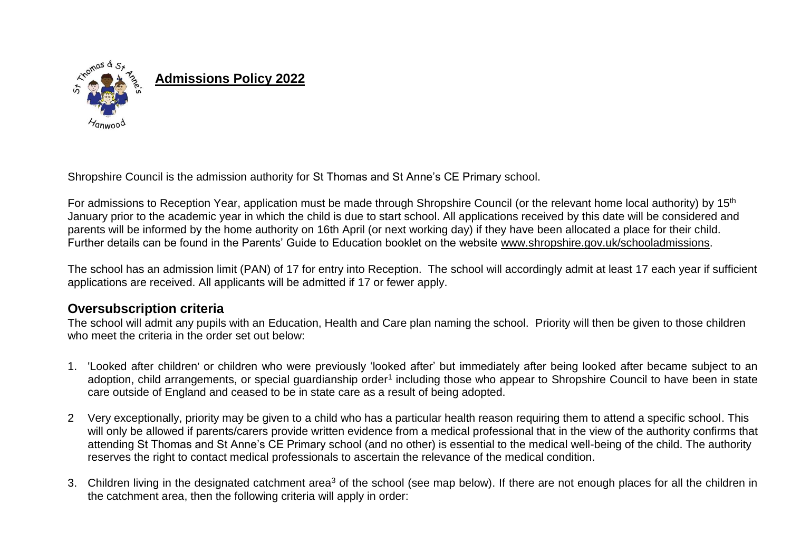

Shropshire Council is the admission authority for St Thomas and St Anne's CE Primary school.

For admissions to Reception Year, application must be made through Shropshire Council (or the relevant home local authority) by 15<sup>th</sup> January prior to the academic year in which the child is due to start school. All applications received by this date will be considered and parents will be informed by the home authority on 16th April (or next working day) if they have been allocated a place for their child. Further details can be found in the Parents' Guide to Education booklet on the website [www.shropshire.gov.uk/schooladmissions.](http://www.shropshire.gov.uk/schooladmissions)

The school has an admission limit (PAN) of 17 for entry into Reception. The school will accordingly admit at least 17 each year if sufficient applications are received. All applicants will be admitted if 17 or fewer apply.

### **Oversubscription criteria**

The school will admit any pupils with an Education, Health and Care plan naming the school. Priority will then be given to those children who meet the criteria in the order set out below:

- 1. 'Looked after children' or children who were previously 'looked after' but immediately after being looked after became subject to an adoption, child arrangements, or special guardianship order<sup>1</sup> including those who appear to Shropshire Council to have been in state care outside of England and ceased to be in state care as a result of being adopted.
- 2 Very exceptionally, priority may be given to a child who has a particular health reason requiring them to attend a specific school. This will only be allowed if parents/carers provide written evidence from a medical professional that in the view of the authority confirms that attending St Thomas and St Anne's CE Primary school (and no other) is essential to the medical well-being of the child. The authority reserves the right to contact medical professionals to ascertain the relevance of the medical condition.
- 3. Children living in the designated catchment area<sup>3</sup> of the school (see map below). If there are not enough places for all the children in the catchment area, then the following criteria will apply in order: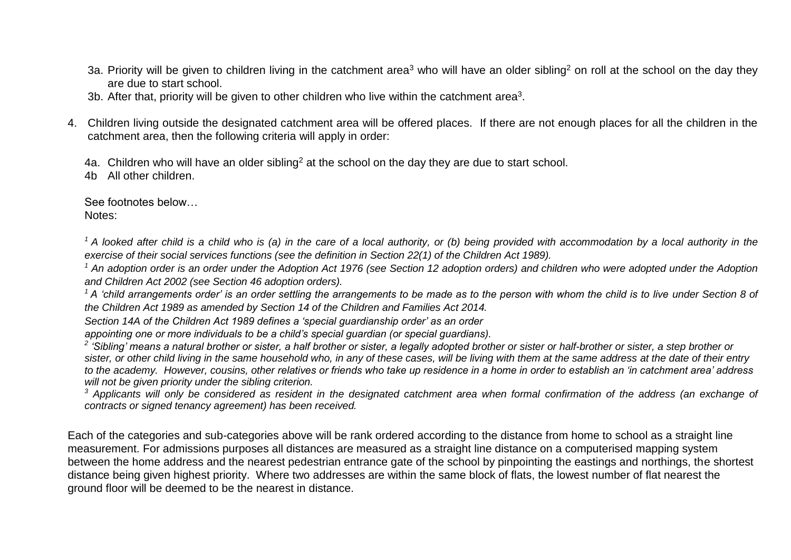- 3a. Priority will be given to children living in the catchment area<sup>3</sup> who will have an older sibling<sup>2</sup> on roll at the school on the dav thev are due to start school.
- 3b. After that, priority will be given to other children who live within the catchment area<sup>3</sup>.
- 4. Children living outside the designated catchment area will be offered places. If there are not enough places for all the children in the catchment area, then the following criteria will apply in order:

4a. Children who will have an older sibling<sup>2</sup> at the school on the day they are due to start school.

4b All other children.

See footnotes below… Notes:

<sup>1</sup> A looked after child is a child who is (a) in the care of a local authority, or (b) being provided with accommodation by a local authority in the *exercise of their social services functions (see the definition in Section 22(1) of the Children Act 1989).*

<sup>1</sup> An adoption order is an order under the Adoption Act 1976 (see Section 12 adoption orders) and children who were adopted under the Adoption *and Children Act 2002 (see Section 46 adoption orders).* 

*<sup>1</sup>A 'child arrangements order' is an order settling the arrangements to be made as to the person with whom the child is to live under Section 8 of the Children Act 1989 as amended by Section 14 of the Children and Families Act 2014.* 

*Section 14A of the Children Act 1989 defines a 'special guardianship order' as an order*

*appointing one or more individuals to be a child's special guardian (or special guardians).*

<sup>2</sup> 'Sibling' means a natural brother or sister, a half brother or sister, a legally adopted brother or sister or half-brother or sister, a step brother or *sister, or other child living in the same household who, in any of these cases, will be living with them at the same address at the date of their entry to the academy. However, cousins, other relatives or friends who take up residence in a home in order to establish an 'in catchment area' address will not be given priority under the sibling criterion.*

<sup>3</sup> Applicants will only be considered as resident in the designated catchment area when formal confirmation of the address (an exchange of *contracts or signed tenancy agreement) has been received.*

Each of the categories and sub-categories above will be rank ordered according to the distance from home to school as a straight line measurement. For admissions purposes all distances are measured as a straight line distance on a computerised mapping system between the home address and the nearest pedestrian entrance gate of the school by pinpointing the eastings and northings, the shortest distance being given highest priority. Where two addresses are within the same block of flats, the lowest number of flat nearest the ground floor will be deemed to be the nearest in distance.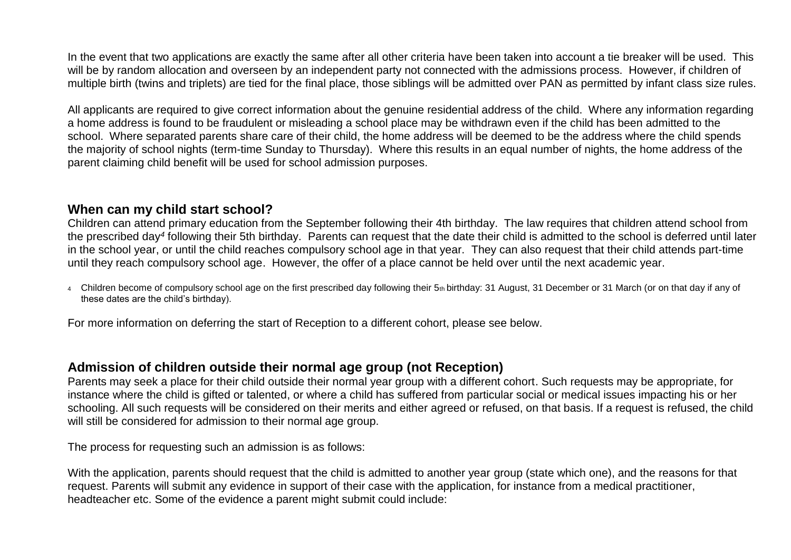In the event that two applications are exactly the same after all other criteria have been taken into account a tie breaker will be used. This will be by random allocation and overseen by an independent party not connected with the admissions process. However, if children of multiple birth (twins and triplets) are tied for the final place, those siblings will be admitted over PAN as permitted by infant class size rules.

All applicants are required to give correct information about the genuine residential address of the child. Where any information regarding a home address is found to be fraudulent or misleading a school place may be withdrawn even if the child has been admitted to the school. Where separated parents share care of their child, the home address will be deemed to be the address where the child spends the majority of school nights (term-time Sunday to Thursday). Where this results in an equal number of nights, the home address of the parent claiming child benefit will be used for school admission purposes.

#### **When can my child start school?**

Children can attend primary education from the September following their 4th birthday. The law requires that children attend school from the prescribed day*<sup>4</sup>* following their 5th birthday. Parents can request that the date their child is admitted to the school is deferred until later in the school year, or until the child reaches compulsory school age in that year. They can also request that their child attends part-time until they reach compulsory school age. However, the offer of a place cannot be held over until the next academic year.

<sup>4</sup> Children become of compulsory school age on the first prescribed day following their 5th birthday: 31 August, 31 December or 31 March (or on that day if any of these dates are the child's birthday).

For more information on deferring the start of Reception to a different cohort, please see below.

#### **Admission of children outside their normal age group (not Reception)**

Parents may seek a place for their child outside their normal year group with a different cohort. Such requests may be appropriate, for instance where the child is gifted or talented, or where a child has suffered from particular social or medical issues impacting his or her schooling. All such requests will be considered on their merits and either agreed or refused, on that basis. If a request is refused, the child will still be considered for admission to their normal age group.

The process for requesting such an admission is as follows:

With the application, parents should request that the child is admitted to another year group (state which one), and the reasons for that request. Parents will submit any evidence in support of their case with the application, for instance from a medical practitioner, headteacher etc. Some of the evidence a parent might submit could include: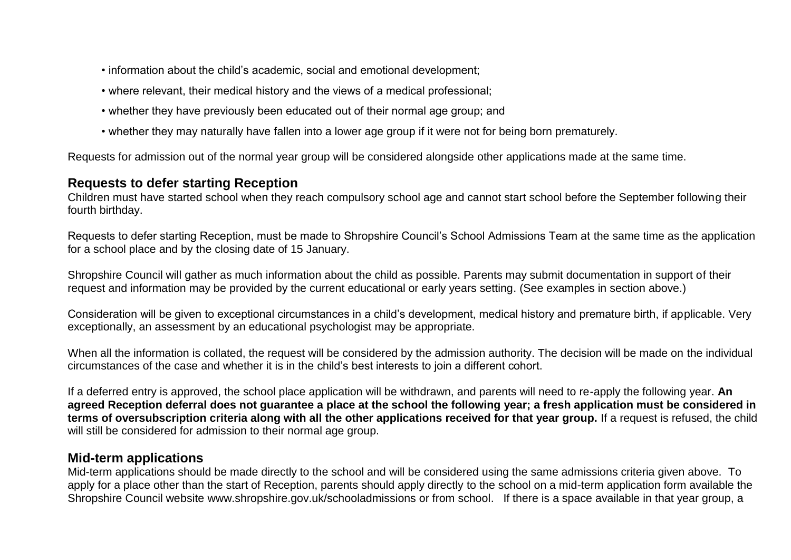- information about the child's academic, social and emotional development;
- where relevant, their medical history and the views of a medical professional;
- whether they have previously been educated out of their normal age group; and
- whether they may naturally have fallen into a lower age group if it were not for being born prematurely.

Requests for admission out of the normal year group will be considered alongside other applications made at the same time.

### **Requests to defer starting Reception**

Children must have started school when they reach compulsory school age and cannot start school before the September following their fourth birthday.

Requests to defer starting Reception, must be made to Shropshire Council's School Admissions Team at the same time as the application for a school place and by the closing date of 15 January.

Shropshire Council will gather as much information about the child as possible. Parents may submit documentation in support of their request and information may be provided by the current educational or early years setting. (See examples in section above.)

Consideration will be given to exceptional circumstances in a child's development, medical history and premature birth, if applicable. Very exceptionally, an assessment by an educational psychologist may be appropriate.

When all the information is collated, the request will be considered by the admission authority. The decision will be made on the individual circumstances of the case and whether it is in the child's best interests to join a different cohort.

If a deferred entry is approved, the school place application will be withdrawn, and parents will need to re-apply the following year. **An agreed Reception deferral does not guarantee a place at the school the following year; a fresh application must be considered in terms of oversubscription criteria along with all the other applications received for that year group.** If a request is refused, the child will still be considered for admission to their normal age group.

### **Mid-term applications**

Mid-term applications should be made directly to the school and will be considered using the same admissions criteria given above. To apply for a place other than the start of Reception, parents should apply directly to the school on a mid-term application form available the Shropshire Council website www.shropshire.gov.uk/schooladmissions or from school. If there is a space available in that year group, a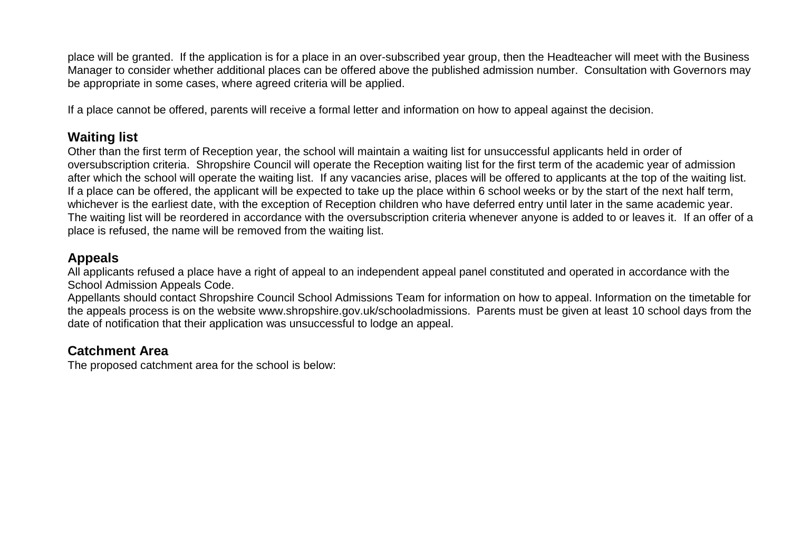place will be granted. If the application is for a place in an over-subscribed year group, then the Headteacher will meet with the Business Manager to consider whether additional places can be offered above the published admission number. Consultation with Governors may be appropriate in some cases, where agreed criteria will be applied.

If a place cannot be offered, parents will receive a formal letter and information on how to appeal against the decision.

## **Waiting list**

Other than the first term of Reception year, the school will maintain a waiting list for unsuccessful applicants held in order of oversubscription criteria. Shropshire Council will operate the Reception waiting list for the first term of the academic year of admission after which the school will operate the waiting list. If any vacancies arise, places will be offered to applicants at the top of the waiting list. If a place can be offered, the applicant will be expected to take up the place within 6 school weeks or by the start of the next half term, whichever is the earliest date, with the exception of Reception children who have deferred entry until later in the same academic year. The waiting list will be reordered in accordance with the oversubscription criteria whenever anyone is added to or leaves it. If an offer of a place is refused, the name will be removed from the waiting list.

# **Appeals**

All applicants refused a place have a right of appeal to an independent appeal panel constituted and operated in accordance with the School Admission Appeals Code.

Appellants should contact Shropshire Council School Admissions Team for information on how to appeal. Information on the timetable for the appeals process is on the website www.shropshire.gov.uk/schooladmissions. Parents must be given at least 10 school days from the date of notification that their application was unsuccessful to lodge an appeal.

# **Catchment Area**

The proposed catchment area for the school is below: